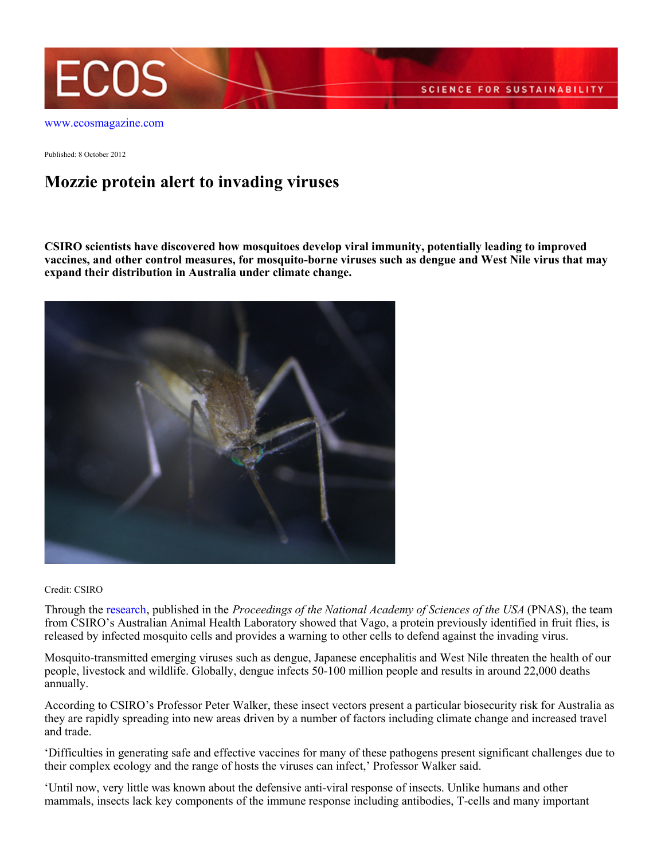

Published: 8 October 2012

## **Mozzie protein alert to invading viruses**

**CSIRO scientists have discovered how mosquitoes develop viral immunity, potentially leading to improved vaccines, and other control measures, for mosquito-borne viruses such as dengue and West Nile virus that may expand their distribution in Australia under climate change.**



Credit: CSIRO

Through the [research](http://www.pnas.org/content/early/2012/09/28/1205231109), published in the *Proceedings of the National Academy of Sciences of the USA* (PNAS), the team from CSIRO's Australian Animal Health Laboratory showed that Vago, a protein previously identified in fruit flies, is released by infected mosquito cells and provides a warning to other cells to defend against the invading virus.

Mosquito-transmitted emerging viruses such as dengue, Japanese encephalitis and West Nile threaten the health of our people, livestock and wildlife. Globally, dengue infects 50-100 million people and results in around 22,000 deaths annually.

According to CSIRO's Professor Peter Walker, these insect vectors present a particular biosecurity risk for Australia as they are rapidly spreading into new areas driven by a number of factors including climate change and increased travel and trade.

'Difficulties in generating safe and effective vaccines for many of these pathogens present significant challenges due to their complex ecology and the range of hosts the viruses can infect,' Professor Walker said.

'Until now, very little was known about the defensive anti-viral response of insects. Unlike humans and other mammals, insects lack key components of the immune response including antibodies, T-cells and many important